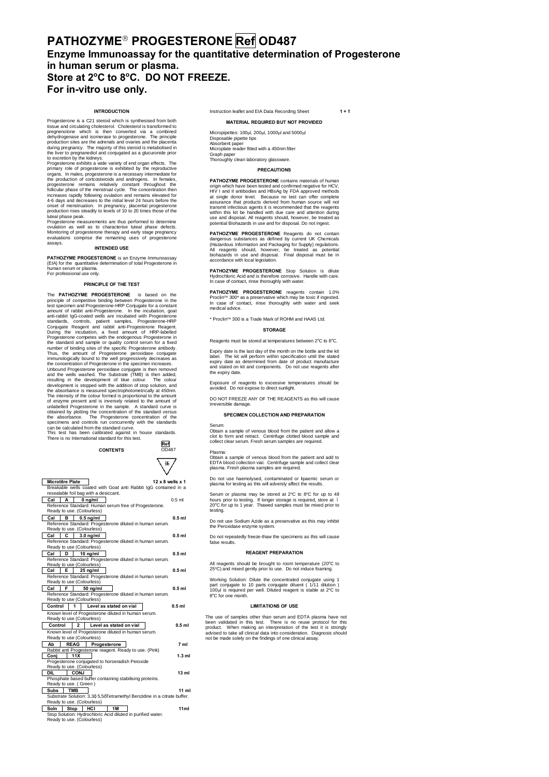# **PATHOZYME**' **PROGESTERONE Ref OD487 Enzyme Immunoassay for the quantitative determination of Progesterone in human serum or plasma. Store at 2<sup>o</sup> C to 8<sup>o</sup> C. DO NOT FREEZE. For in-vitro use only.**

## **INTRODUCTION**

Progesterone is a C21 steroid which is synthesized from both<br>tissue and circulating cholesterol. Cholesterol is transformed to<br>pregnenolone which is then converted via a combined<br>dehydrogenese and isomerase to progesterone

progesterone remains relatively constant throughout the follicular phase of the menstrual cycle. The concentration then increases rapidly following ovulation and remains elevated for 4-6 days and decreases to the initial level 24 hours before the onset of menstruation. In pregnancy, placental progesterone production rises steadily to levels of 10 to 20 times those of the luteal phase peak.

Progesterone measurements are thus performed to determine<br>ovulation as well as to characterise luteal phase defects.<br>Monitoring of progesterone therapy and early stage pregnancy<br>evaluations comprise the remaining uses of p ssays **INTENDED USE**

**PATHOZYME PROGESTERONE** is an Enzyme Immunoassay (EIA) for the quantitative determination of total Progesterone in human serum or plasma. For professional use only.

#### **PRINCIPLE OF THE TEST**

The **PATHOZYME PROGESTERONE** is based on the<br>principle of competitive binding between Progesterone in the<br>test specimen and Progesterone-HRP Conjugate for a constant<br>amount of rabiti anti-Progesterone. In the incubation, g the standard and sample or quality control serum for a fixed number of binding sites of the specific Progesterone antibody. Thus, the amount of Progesterone peroxidase conjugate immunologically bound to the well progressively decreases as immunologically bound to the well progressively decreases as<br>the concentration of Progesteron in the specime increases.<br>Unbound Progesterone peroxidase conjugate is then removed<br>and the wells washed. The Substrate (TMB) is

can be calculated from the standard curve. This test has been calibrated against in house standards. There is no International standard for this test. **Ref**erences to the contract of the contract of the contract of the contract of the contract of the contract of the contract of the contract of the contract of the contract of the contract of the contract of the contract o



| <b>Microtitre Plate</b>                                                                | 12 x 8 wells x 1 |
|----------------------------------------------------------------------------------------|------------------|
| Breakable wells coated with Goat anti Rabbit IgG contained in a                        |                  |
| resealable foil bag with a desiccant.                                                  |                  |
| Cal I<br>$0$ ng/ml<br>А                                                                | $0.5$ ml         |
| Reference Standard: Human serum free of Progesterone.                                  |                  |
| Ready to use. (Colourless)                                                             |                  |
| Cal<br>в<br>$0.5$ ng/ml                                                                | $0.5$ ml         |
| Reference Standard: Progesterone diluted in human serum.<br>Ready to use. (Colourless) |                  |
| C<br>Cal<br>$3.0$ ng/ml                                                                | $0.5$ ml         |
| Reference Standard: Progesterone diluted in human serum.                               |                  |
| Ready to use (Colourless)                                                              |                  |
| Cal<br>10 ng/ml<br>D                                                                   | $0.5$ ml         |
| Reference Standard: Progesterone diluted in human serum.                               |                  |
| Ready to use (Colourless)                                                              |                  |
| Cal<br>$25$ ng/ml<br>Е                                                                 | $0.5$ ml         |
| Reference Standard: Progesterone diluted in human serum.                               |                  |
| Ready to use (Colourless)                                                              |                  |
| Cal<br>F.<br>50 ng/ml                                                                  | $0.5$ ml         |
| Reference Standard: Progesterone diluted in human serum.                               |                  |
| Ready to use (Colourless)                                                              |                  |
| $\blacktriangleleft$<br>Control<br>Level as stated on vial                             | $0.5$ ml         |
| Known level of Progesterone diluted in human serum.                                    |                  |
| Ready to use (Colourless)                                                              |                  |
| Control<br>$\overline{2}$<br>Level as stated on vial                                   | $0.5$ ml         |
| Known level of Progesterone diluted in human serum.                                    |                  |
| Ready to use (Colourless)                                                              |                  |
| Ab<br><b>REAG</b><br>Progesterone                                                      | 7 ml             |
| Rabbit anti Progesterone reagent. Ready to use. (Pink)<br>11X                          | $1.3$ ml         |
| Coni<br>Progesterone conjugated to horseradish Peroxide                                |                  |
| Ready to use. (Colourless)                                                             |                  |
| <b>DIL</b><br>CONJ                                                                     | 13 <sub>m1</sub> |
| Phosphate based buffer containing stabilising proteins.                                |                  |
| Ready to use. (Green)                                                                  |                  |
| <b>TMB</b><br>Subs                                                                     | 11 ml            |
| Substrate Solution: 3,3q 5,5qTetramethyl Benzidine in a citrate buffer.                |                  |
| Ready to use. (Colourless)                                                             |                  |
| 1M<br>Soln<br>Stop HCI                                                                 | 11 <sub>ml</sub> |
| Stop Solution: Hydrochloric Acid diluted in purified water.                            |                  |
| Ready to use. (Colourless)                                                             |                  |
|                                                                                        |                  |

Instruction leaflet and EIA Data Recording Sheet **1 + 1**

**MATERIAL REQUIRED BUT NOT PROVIDED**

 $M$ icropipettes: 100 $\mu$ l, 200 $\mu$ l, 1000 $\mu$ l and 5000 $\mu$ l Disposable pipette tips Absorbent paper Microplate reader fitted with a 450nm filter Graph paper Thoroughly clean laboratory glassware.

## **PRECAUTIONS**

**PATHOZYME PROGESTERONE** condins materials of human metrican<br>origin which have been tested and confirmed negative for HCV,<br>HIV I and II antibodies and HBsAg by FDA approved methods<br>at single donor level. Because no test ca

**PATHOZYME PROGESTERONE** Reagents do not contain dangerous substances as defined by current UK Chemicals (Hazardous Information and Packaging for Supply) regulations. All reagents should, however, be treated as potential biohazards in use and disposal. Final disposal must be in accordance with local legislation.

PATHOZYME PROGESTERONE Stop Solution is dilute<br>Hydrochloric Acid and is therefore corrosive. Handle with care.<br>In case of contact, rinse thoroughly with water.

PATHOZYME PROGESTERONE reagents contain 1.0%<br>Proclin<sup>714</sup> 300<sup>\*</sup> as a preservative which may be toxic if ingested.<br>In case of contact, rinse thoroughly with water and seek<br>medical advice.

\* Proclin<sup>1M</sup> 300 is a Trade Mark of ROHM and HAAS Ltd.

#### **STORAGE**

Reagents must be stored at temperatures between 2°C to 8°C.

Expiry date is the last day of the month on the bottle and the kit label. The kit will perform within specification until the stated expiry date as determined from date of product manufacture and stated on kit and components. Do not use reagents after expiry date

Exposure of reagents to excessive temperatures should be avoided. Do not expose to direct sunlight.

DO NOT FREEZE ANY OF THE REAGENTS as this will cause irreversible damage.

### **SPECIMEN COLLECTION AND PREPARATION**

Serum: Obtain a sample of venous blood from the patient and allow a clot to form and retract. Centrifuge clotted blood sample and collect clear serum. Fresh serum samples are required.

Plasma: Obtain a sample of venous blood from the patient and add to EDTA blood collection vial. Centrifuge sample and collect clear plasma. Fresh plasma samples are required.

Do not use haemolysed, contaminated or lipaemic serum or plasma for testing as this will adversly affect the results.

Serum or plasma may be stored at 2°C to 8°C for up to 48<br>hours prior to testing. If longer storage is required, store at .<br>20°C for up to 1 year. Thawed samples must be mixed prior to<br>testing.

Do not use Sodium Azide as a preservative as this may inhibit the Peroxidase enzyme system

Do not repeatedly freeze-thaw the specimens as this will cause false results.

#### **REAGENT PREPARATION**

All reagents should be brought to room temperature (20°C to 25°C) and mixed gently prior to use. Do not induce foaming.

Working Solution: Dilute the concentrated conjugate using 1<br>part conjugate to 10 parts conjugate diluent ( 1/11 dilution )<br>100µl is required per well. Diluted reagent is stable at 2°C to<br>8°C for one month.

## **LIMITATIONS OF USE**

The use of samples other than serum and EDTA plasma have not been validated in this test. There is no reuse protocol for this<br>product. When making an interpretation of the test it is strongly<br>advised to take all clinical data into consideration. Diagnosis should not be made solely on the findings of one clinical assay.